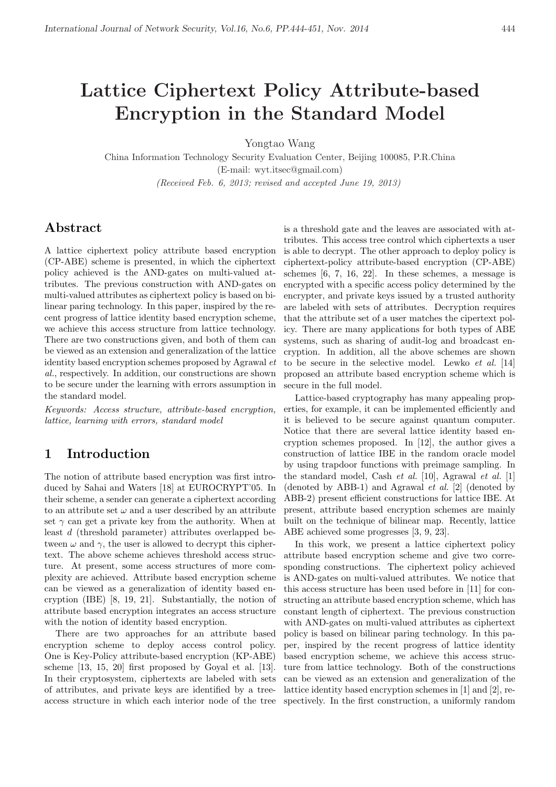# Lattice Ciphertext Policy Attribute-based Encryption in the Standard Model

Yongtao Wang

China Information Technology Security Evaluation Center, Beijing 100085, P.R.China (E-mail: wyt.itsec@gmail.com) (Received Feb. 6, 2013; revised and accepted June 19, 2013)

# Abstract

A lattice ciphertext policy attribute based encryption (CP-ABE) scheme is presented, in which the ciphertext policy achieved is the AND-gates on multi-valued attributes. The previous construction with AND-gates on multi-valued attributes as ciphertext policy is based on bilinear paring technology. In this paper, inspired by the recent progress of lattice identity based encryption scheme, we achieve this access structure from lattice technology. There are two constructions given, and both of them can be viewed as an extension and generalization of the lattice identity based encryption schemes proposed by Agrawal et al., respectively. In addition, our constructions are shown to be secure under the learning with errors assumption in the standard model.

Keywords: Access structure, attribute-based encryption, lattice, learning with errors, standard model

# 1 Introduction

The notion of attribute based encryption was first introduced by Sahai and Waters [18] at EUROCRYPT'05. In their scheme, a sender can generate a ciphertext according to an attribute set  $\omega$  and a user described by an attribute set  $\gamma$  can get a private key from the authority. When at least d (threshold parameter) attributes overlapped between  $\omega$  and  $\gamma$ , the user is allowed to decrypt this ciphertext. The above scheme achieves threshold access structure. At present, some access structures of more complexity are achieved. Attribute based encryption scheme can be viewed as a generalization of identity based encryption (IBE) [8, 19, 21]. Substantially, the notion of attribute based encryption integrates an access structure with the notion of identity based encryption.

There are two approaches for an attribute based encryption scheme to deploy access control policy. One is Key-Policy attribute-based encryption (KP-ABE) scheme [13, 15, 20] first proposed by Goyal et al. [13]. In their cryptosystem, ciphertexts are labeled with sets of attributes, and private keys are identified by a treeaccess structure in which each interior node of the tree

is a threshold gate and the leaves are associated with attributes. This access tree control which ciphertexts a user is able to decrypt. The other approach to deploy policy is ciphertext-policy attribute-based encryption (CP-ABE) schemes [6, 7, 16, 22]. In these schemes, a message is encrypted with a specific access policy determined by the encrypter, and private keys issued by a trusted authority are labeled with sets of attributes. Decryption requires that the attribute set of a user matches the cipertext policy. There are many applications for both types of ABE systems, such as sharing of audit-log and broadcast encryption. In addition, all the above schemes are shown to be secure in the selective model. Lewko et al. [14] proposed an attribute based encryption scheme which is secure in the full model.

Lattice-based cryptography has many appealing properties, for example, it can be implemented efficiently and it is believed to be secure against quantum computer. Notice that there are several lattice identity based encryption schemes proposed. In [12], the author gives a construction of lattice IBE in the random oracle model by using trapdoor functions with preimage sampling. In the standard model, Cash  $et \ al.$  [10], Agrawal  $et \ al.$  [1] (denoted by ABB-1) and Agrawal et al. [2] (denoted by ABB-2) present efficient constructions for lattice IBE. At present, attribute based encryption schemes are mainly built on the technique of bilinear map. Recently, lattice ABE achieved some progresses [3, 9, 23].

In this work, we present a lattice ciphertext policy attribute based encryption scheme and give two corresponding constructions. The ciphertext policy achieved is AND-gates on multi-valued attributes. We notice that this access structure has been used before in [11] for constructing an attribute based encryption scheme, which has constant length of ciphertext. The previous construction with AND-gates on multi-valued attributes as ciphertext policy is based on bilinear paring technology. In this paper, inspired by the recent progress of lattice identity based encryption scheme, we achieve this access structure from lattice technology. Both of the constructions can be viewed as an extension and generalization of the lattice identity based encryption schemes in [1] and [2], respectively. In the first construction, a uniformly random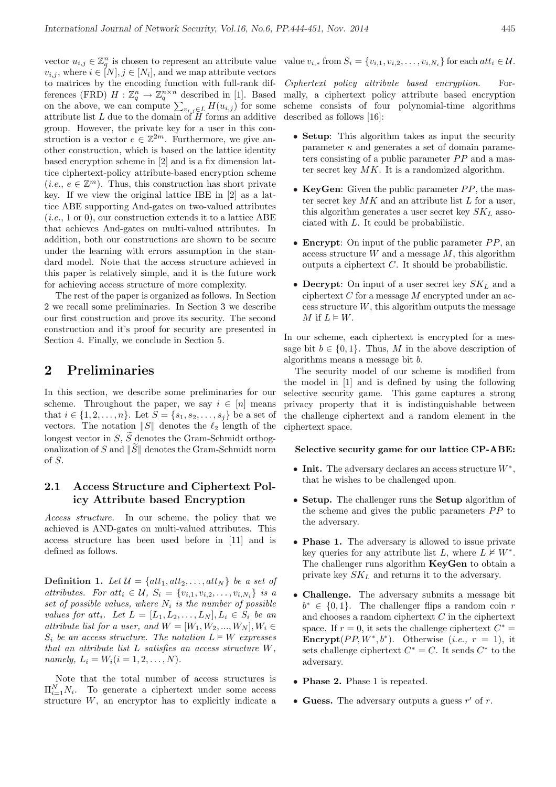vector  $u_{i,j} \in \mathbb{Z}_q^n$  is chosen to represent an attribute value  $v_{i,j}$ , where  $i \in [N], j \in [N_i]$ , and we map attribute vectors to matrices by the encoding function with full-rank differences (FRD)  $H: \mathbb{Z}_q^n \to \mathbb{Z}_q^{n \times n}$  described in [1]. Based definition the above, we can compute  $\sum_{v_{i,j}\in L} H(u_{i,j})$  for some attribute list  $L$  due to the domain of  $\overrightarrow{H}$  forms an additive group. However, the private key for a user in this construction is a vector  $e \in \mathbb{Z}^{2m}$ . Furthermore, we give another construction, which is based on the lattice identity based encryption scheme in [2] and is a fix dimension lattice ciphertext-policy attribute-based encryption scheme (*i.e.*,  $e \in \mathbb{Z}^m$ ). Thus, this construction has short private key. If we view the original lattice IBE in [2] as a lattice ABE supporting And-gates on two-valued attributes  $(i.e., 1 or 0)$ , our construction extends it to a lattice ABE that achieves And-gates on multi-valued attributes. In addition, both our constructions are shown to be secure under the learning with errors assumption in the standard model. Note that the access structure achieved in this paper is relatively simple, and it is the future work for achieving access structure of more complexity.

The rest of the paper is organized as follows. In Section 2 we recall some preliminaries. In Section 3 we describe our first construction and prove its security. The second construction and it's proof for security are presented in Section 4. Finally, we conclude in Section 5.

## 2 Preliminaries

In this section, we describe some preliminaries for our scheme. Throughout the paper, we say  $i \in [n]$  means that  $i \in \{1, 2, ..., n\}$ . Let  $S = \{s_1, s_2, ..., s_j\}$  be a set of vectors. The notation  $||S||$  denotes the  $\ell_2$  length of the longest vector in  $S$ ,  $\tilde{S}$  denotes the Gram-Schmidt orthogonalization of S and  $\|\tilde{S}\|$  denotes the Gram-Schmidt norm of S.

## 2.1 Access Structure and Ciphertext Policy Attribute based Encryption

Access structure. In our scheme, the policy that we achieved is AND-gates on multi-valued attributes. This access structure has been used before in [11] and is defined as follows.

Definition 1. Let  $\mathcal{U} = \{att_1, att_2, \ldots, att_N\}$  be a set of attributes. For att<sub>i</sub>  $\in \mathcal{U}$ ,  $S_i = \{v_{i,1}, v_{i,2}, \ldots, v_{i,N_i}\}$  is a set of possible values, where  $N_i$  is the number of possible values for att<sub>i</sub>. Let  $L = [L_1, L_2, \ldots, L_N], L_i \in S_i$  be an attribute list for a user, and  $W = [W_1, W_2, ..., W_N], W_i \in$  $S_i$  be an access structure. The notation  $L \models W$  expresses that an attribute list  $L$  satisfies an access structure  $W$ , namely,  $L_i = W_i (i = 1, 2, ..., N)$ .

Note that the total number of access structures is  $\Pi_{i=1}^N N_i$ . To generate a ciphertext under some access structure  $W$ , an encryptor has to explicitly indicate a value  $v_{i,*}$  from  $S_i = \{v_{i,1}, v_{i,2}, \ldots, v_{i,N_i}\}$  for each  $att_i \in \mathcal{U}$ .

Ciphertext policy attribute based encryption. Formally, a ciphertext policy attribute based encryption scheme consists of four polynomial-time algorithms described as follows [16]:

- Setup: This algorithm takes as input the security parameter  $\kappa$  and generates a set of domain parameters consisting of a public parameter  $PP$  and a master secret key MK. It is a randomized algorithm.
- KeyGen: Given the public parameter  $PP$ , the master secret key  $MK$  and an attribute list  $L$  for a user, this algorithm generates a user secret key  $SK_L$  associated with L. It could be probabilistic.
- Encrypt: On input of the public parameter  $PP$ , and access structure  $W$  and a message  $M$ , this algorithm outputs a ciphertext C. It should be probabilistic.
- Decrypt: On input of a user secret key  $SK_L$  and a ciphertext  $C$  for a message  $M$  encrypted under an ac- $\cos$  structure  $W$ , this algorithm outputs the message M if  $L \models W$ .

In our scheme, each ciphertext is encrypted for a message bit  $b \in \{0, 1\}$ . Thus, M in the above description of algorithms means a message bit b.

The security model of our scheme is modified from the model in [1] and is defined by using the following selective security game. This game captures a strong privacy property that it is indistinguishable between the challenge ciphertext and a random element in the ciphertext space.

#### Selective security game for our lattice CP-ABE:

- Init. The adversary declares an access structure  $W^*$ , that he wishes to be challenged upon.
- Setup. The challenger runs the Setup algorithm of the scheme and gives the public parameters  $PP$  to the adversary.
- **Phase 1.** The adversary is allowed to issue private key queries for any attribute list L, where  $L \not\vDash W^*$ . The challenger runs algorithm **KeyGen** to obtain a private key  $SK_L$  and returns it to the adversary.
- Challenge. The adversary submits a message bit  $b^* \in \{0, 1\}$ . The challenger flips a random coin r and chooses a random ciphertext  $C$  in the ciphertext space. If  $r = 0$ , it sets the challenge ciphertext  $C^* =$ **Encrypt**( $PP, W^*, b^*$ ). Otherwise (*i.e.*,  $r = 1$ ), it sets challenge ciphertext  $C^* = C$ . It sends  $C^*$  to the adversary.
- Phase 2. Phase 1 is repeated.
- Guess. The adversary outputs a guess  $r'$  of  $r$ .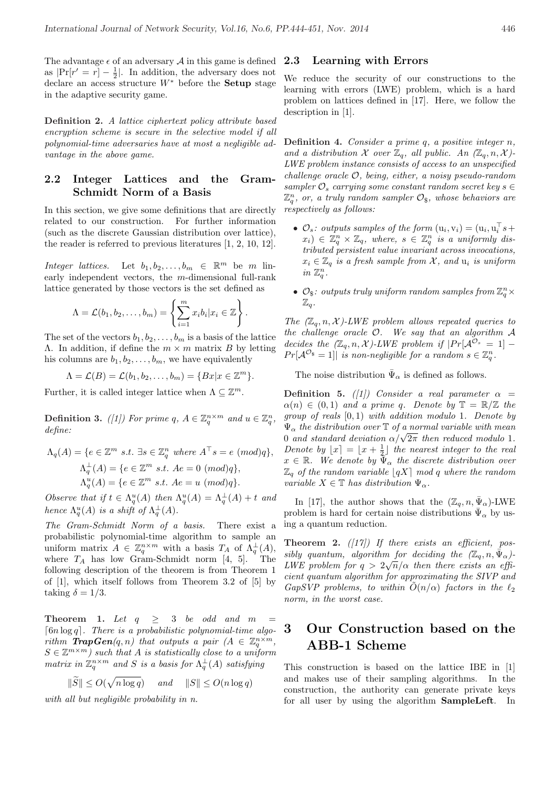The advantage  $\epsilon$  of an adversary  $\mathcal A$  in this game is defined as  $|\Pr[r'=r]-\frac{1}{2}|$ . In addition, the adversary does not declare an access structure  $W^*$  before the **Setup** stage in the adaptive security game.

Definition 2. A lattice ciphertext policy attribute based encryption scheme is secure in the selective model if all polynomial-time adversaries have at most a negligible advantage in the above game.

## 2.2 Integer Lattices and the Gram-Schmidt Norm of a Basis

In this section, we give some definitions that are directly related to our construction. For further information (such as the discrete Gaussian distribution over lattice), the reader is referred to previous literatures [1, 2, 10, 12].

Integer lattices. Let  $b_1, b_2, \ldots, b_m \in \mathbb{R}^m$  be m linearly independent vectors, the m-dimensional full-rank lattice generated by those vectors is the set defined as

$$
\Lambda = \mathcal{L}(b_1, b_2, \dots, b_m) = \left\{ \sum_{i=1}^m x_i b_i | x_i \in \mathbb{Z} \right\}.
$$

The set of the vectors  $b_1, b_2, \ldots, b_m$  is a basis of the lattice Λ. In addition, if define the m × m matrix B by letting his columns are  $b_1, b_2, \ldots, b_m$ , we have equivalently

$$
\Lambda = \mathcal{L}(B) = \mathcal{L}(b_1, b_2, \dots, b_m) = \{Bx | x \in \mathbb{Z}^m\}.
$$

Further, it is called integer lattice when  $\Lambda \subseteq \mathbb{Z}^m$ .

**Definition 3.** ([1]) For prime  $q, A \in \mathbb{Z}_q^{n \times m}$  and  $u \in \mathbb{Z}_q^n$ , define:

$$
\Lambda_q(A) = \{ e \in \mathbb{Z}^m \text{ s.t. } \exists s \in \mathbb{Z}_q^n \text{ where } A^\top s = e \text{ (mod)}q \},
$$
  

$$
\Lambda_q^\perp(A) = \{ e \in \mathbb{Z}^m \text{ s.t. } Ae = 0 \text{ (mod)}q \},
$$
  

$$
\Lambda_q^u(A) = \{ e \in \mathbb{Z}^m \text{ s.t. } Ae = u \text{ (mod)}q \}.
$$

Observe that if  $t \in \Lambda_q^u(A)$  then  $\Lambda_q^u(A) = \Lambda_q^{\perp}(A) + t$  and hence  $\Lambda_q^u(A)$  is a shift of  $\Lambda_q^{\perp}(A)$ .

The Gram-Schmidt Norm of a basis. There exist a probabilistic polynomial-time algorithm to sample an uniform matrix  $A \in \mathbb{Z}_q^{n \times m}$  with a basis  $T_A$  of  $\Lambda_q^{\perp}(A)$ , where  $T_A$  has low Gram-Schmidt norm [4, 5]. The following description of the theorem is from Theorem 1 of [1], which itself follows from Theorem 3.2 of [5] by taking  $\delta = 1/3$ .

**Theorem 1.** Let  $q \geq 3$  be odd and m [6n log q]. There is a probabilistic polynomial-time algorithm  $\text{TrapGen}(q, n)$  that outputs a pair  $(A \in \mathbb{Z}_q^{n \times m})$ ,  $S \in \mathbb{Z}^{m \times m}$  such that A is statistically close to a uniform matrix in  $\mathbb{Z}_q^{n \times m}$  and S is a basis for  $\Lambda_q^{\perp}(A)$  satisfying

 $\|\widetilde{S}\| \leq O(\sqrt{\epsilon})$  $n \log q$  and  $||S|| \leq O(n \log q)$ 

with all but negligible probability in n.

#### 2.3 Learning with Errors

We reduce the security of our constructions to the learning with errors (LWE) problem, which is a hard problem on lattices defined in [17]. Here, we follow the description in [1].

**Definition 4.** Consider a prime  $q$ , a positive integer  $n$ , and a distribution X over  $\mathbb{Z}_q$ , all public. An  $(\mathbb{Z}_q, n, \mathcal{X})$ -LWE problem instance consists of access to an unspecified challenge oracle O, being, either, a noisy pseudo-random sampler  $\mathcal{O}_s$  carrying some constant random secret key  $s \in \mathcal{O}_s$  $\mathbb{Z}_q^n$ , or, a truly random sampler  $\mathcal{O}_\$$ , whose behaviors are respectively as follows:

- $\mathcal{O}_s$ : outputs samples of the form  $(u_i, v_i) = (u_i, u_i^{\top} s +$  $(x_i) \in \mathbb{Z}_q^n \times \mathbb{Z}_q$ , where,  $s \in \mathbb{Z}_q^n$  is a uniformly distributed persistent value invariant across invocations,  $x_i \in \mathbb{Z}_q$  is a fresh sample from X, and  $u_i$  is uniform in  $\mathbb{Z}_q^n$ .
- $\mathcal{O}_\$$ : outputs truly uniform random samples from  $\mathbb{Z}_q^n \times$  $\mathbb{Z}_q$  .

The  $(\mathbb{Z}_q, n, \mathcal{X})$ -LWE problem allows repeated queries to the challenge oracle  $\mathcal{O}$ . We say that an algorithm  $\mathcal A$ decides the  $(\mathbb{Z}_q, n, \mathcal{X})$ -LWE problem if  $|Pr[\mathcal{A}^{\mathcal{O}_s} = 1]$  –  $Pr[\mathcal{A}^{\mathcal{O}_{\$}}=1]|$  is non-negligible for a random  $s \in \mathbb{Z}_q^n$ .

The noise distribution  $\bar{\Psi}_{\alpha}$  is defined as follows.

**Definition 5.** ([1]) Consider a real parameter  $\alpha$  =  $\alpha(n) \in (0,1)$  and a prime q. Denote by  $\mathbb{T} = \mathbb{R}/\mathbb{Z}$  the group of reals  $[0, 1)$  with addition modulo 1. Denote by  $\Psi_{\alpha}$  the distribution over  $\mathbb T$  of a normal variable with mean  $\Psi_\alpha$  the aistribution over  $\mathbb I$  of a normal variable with mean<br>0 and standard deviation  $\alpha/\sqrt{2\pi}$  then reduced modulo 1. Denote by  $\lfloor x \rfloor = \lfloor x + \frac{1}{2} \rfloor$  the nearest integer to the real  $x \in \mathbb{R}$ . We denote by  $\tilde{\Psi}_{\alpha}$  the discrete distribution over  $\mathbb{Z}_q$  of the random variable  $\lfloor qX \rfloor$  mod q where the random variable  $X \in \mathbb{T}$  has distribution  $\Psi_{\alpha}$ .

In [17], the author shows that the  $(\mathbb{Z}_q, n, \bar{\Psi}_\alpha)$ -LWE problem is hard for certain noise distributions  $\bar{\Psi}_{\alpha}$  by using a quantum reduction.

**Theorem 2.** ( $\left(17\right)$ ) If there exists an efficient, possibly quantum, algorithm for deciding the  $(\mathbb{Z}_q, n, \bar{\Psi}_{\alpha})$ LWE problem for  $q > 2\sqrt{n}/\alpha$  then there exists an efficient quantum algorithm for approximating the SIVP and GapSVP problems, to within  $\tilde{O}(n/\alpha)$  factors in the  $\ell_2$ norm, in the worst case.

# 3 Our Construction based on the ABB-1 Scheme

This construction is based on the lattice IBE in [1] and makes use of their sampling algorithms. In the construction, the authority can generate private keys for all user by using the algorithm SampleLeft. In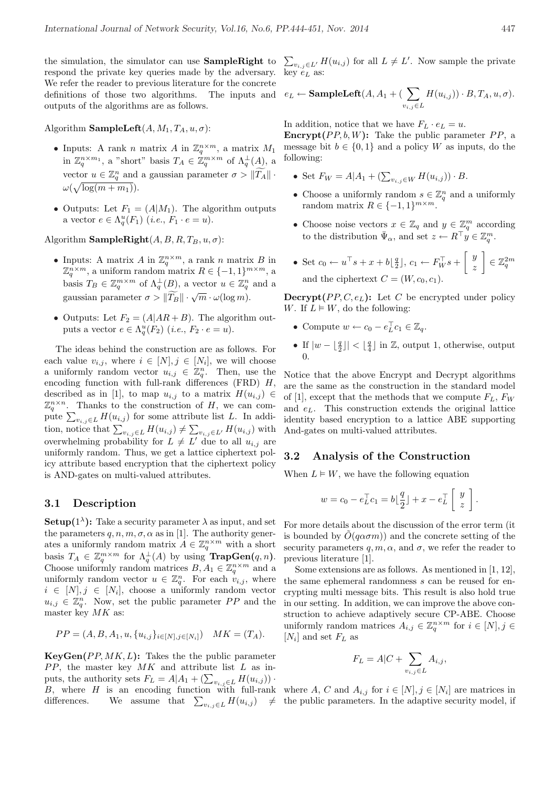respond the private key queries made by the adversary. We refer the reader to previous literature for the concrete definitions of those two algorithms. The inputs and outputs of the algorithms are as follows.

#### Algorithm **SampleLeft** $(A, M_1, T_A, u, \sigma)$ :

- Inputs: A rank n matrix A in  $\mathbb{Z}_q^{n \times m}$ , a matrix  $M_1$ in  $\mathbb{Z}_q^{n \times m_1}$ , a "short" basis  $T_A \in \mathbb{Z}_q^{m \times m}$  of  $\Lambda_q^{\perp}(A)$ , a vector  $u \in \mathbb{Z}_q^n$  and a gaussian parameter  $\sigma > ||\widetilde{T_A}||$ .  $\omega(\sqrt{\log(m+m_1)})$ .
- Outputs: Let  $F_1 = (A|M_1)$ . The algorithm outputs a vector  $e \in \Lambda_q^u(F_1)$  (*i.e.*,  $F_1 \cdot e = u$ ).

Algorithm  $\textbf{SampleRight}(A, B, R, T_B, u, \sigma)$ :

- Inputs: A matrix A in  $\mathbb{Z}_q^{n \times m}$ , a rank n matrix B in  $\mathbb{Z}_q^{n \times m}$ , a uniform random matrix  $R \in \{-1, 1\}^{m \times m}$ , a basis  $T_B \in \mathbb{Z}_q^{m \times m}$  of  $\Lambda_q^{\perp}(B)$ , a vector  $u \in \mathbb{Z}_q^n$  and a gaussian parameter  $\sigma > ||\widetilde{T}_B|| \cdot \sqrt{m} \cdot \omega(\log m)$ .
- Outputs: Let  $F_2 = (A|AR + B)$ . The algorithm outputs a vector  $e \in \Lambda_q^u(F_2)$   $(i.e., F_2 \cdot e = u)$ .

The ideas behind the construction are as follows. For each value  $v_{i,j}$ , where  $i \in [N], j \in [N_i]$ , we will choose a uniformly random vector  $u_{i,j} \in \mathbb{Z}_q^n$ . Then, use the encoding function with full-rank differences (FRD)  $H$ , described as in [1], to map  $u_{i,j}$  to a matrix  $H(u_{i,j}) \in$  $\mathbb{Z}_q^{n \times n}$ . Thanks to the construction of H, we can com- $\sum_{v_{i,j}\in L} H(u_{i,j})$  for some attribute list L. In addipute  $\sum_{v_{i,j}\in L} H(u_{i,j})$  for some attribute list E. In addition, notice that  $\sum_{v_{i,j}\in L} H(u_{i,j}) \neq \sum_{v_{i,j}\in L'} H(u_{i,j})$  with overwhelming probability for  $L \neq L'$  due to all  $u_{i,j}$  are uniformly random. Thus, we get a lattice ciphertext policy attribute based encryption that the ciphertext policy is AND-gates on multi-valued attributes.

## 3.1 Description

**Setup**( $1^{\lambda}$ ): Take a security parameter  $\lambda$  as input, and set the parameters  $q, n, m, \sigma, \alpha$  as in [1]. The authority generates a uniformly random matrix  $A \in \mathbb{Z}_q^{n \times m}$  with a short basis  $T_A \in \mathbb{Z}_q^{m \times m}$  for  $\Lambda_q^{\perp}(A)$  by using **TrapGen** $(q, n)$ . Choose uniformly random matrices  $B, A_1 \in \mathbb{Z}_q^{n \times m}$  and a uniformly random vector  $u \in \mathbb{Z}_q^n$ . For each  $v_{i,j}$ , where  $i \in [N], j \in [N_i],$  choose a uniformly random vector  $u_{i,j} \in \mathbb{Z}_q^n$ . Now, set the public parameter PP and the master key  $MK$  as:

$$
PP = (A, B, A_1, u, \{u_{i,j}\}_{i \in [N], j \in [N_i]}) \quad MK = (T_A).
$$

 $KeyGen(PP, MK, L):$  Takes the the public parameter  $PP$ , the master key  $MK$  and attribute list  $L$  as in-*PP*, the master key *MK* and attribute list *L* as in-<br>puts, the authority sets  $F_L = A|A_1 + (\sum_{v_{i,j} \in L} H(u_{i,j}))$ .  $B$ , where  $H$  is an encoding function with full-rank B, where *H* is an encoung function with fun-rank where *A*, C and  $A_{i,j}$  for  $i \in [N_1, j \in [N_i]$  are matrices in differences. We assume that  $\sum_{v_{i,j} \in L} H(u_{i,j}) \neq$  the public parameters. In the adaptive security model, i

the simulation, the simulator can use **SampleRight** to  $\sum_{v_{i,j} \in L'} H(u_{i,j})$  for all  $L \neq L'$ . Now sample the private key  $e_L$  as:

$$
e_L \leftarrow \textbf{SampleLeft}(A, A_1 + (\sum_{v_{i,j} \in L} H(u_{i,j})) \cdot B, T_A, u, \sigma).
$$

In addition, notice that we have  $F_L \cdot e_L = u$ .

**Encrypt**( $PP, b, W$ ): Take the public parameter  $PP$ , a message bit  $b \in \{0, 1\}$  and a policy W as inputs, do the following:

- Set  $F_W = A|A_1 + (\sum_{v_{i,j} \in W} H(u_{i,j})) \cdot B$ .
- Choose a uniformly random  $s \in \mathbb{Z}_q^n$  and a uniformly random matrix  $R \in \{-1, 1\}^{m \times m}$ .
- Choose noise vectors  $x \in \mathbb{Z}_q$  and  $y \in \mathbb{Z}_q^m$  according to the distribution  $\bar{\Psi}_{\alpha}$ , and set  $z \leftarrow R^{\top} y \in \mathbb{Z}_q^m$ .
- Set  $c_0 \leftarrow u^\top s + x + b\lfloor \frac{q}{2} \rfloor, c_1 \leftarrow F_W^\top s +$  $\lceil y \rceil$ z  $\overline{a}$  $\in \mathbb{Z}_q^{2m}$ and the ciphertext  $C = (W, c_0, c_1)$ .

**Decrypt**( $PP, C, e_L$ ): Let C be encrypted under policy W. If  $L \models W$ , do the following:

- Compute  $w \leftarrow c_0 e_L^{\top} c_1 \in \mathbb{Z}_q$ .
- If  $|w \lfloor \frac{q}{2} \rfloor | < \lfloor \frac{q}{4} \rfloor$  in Z, output 1, otherwise, output 0.

Notice that the above Encrypt and Decrypt algorithms are the same as the construction in the standard model of [1], except that the methods that we compute  $F_L$ ,  $F_W$ and  $e_L$ . This construction extends the original lattice identity based encryption to a lattice ABE supporting And-gates on multi-valued attributes.

#### 3.2 Analysis of the Construction

When  $L \models W$ , we have the following equation

$$
w = c_0 - e_L^{\top} c_1 = b \lfloor \frac{q}{2} \rfloor + x - e_L^{\top} \begin{bmatrix} y \\ z \end{bmatrix}.
$$

For more details about the discussion of the error term (it is bounded by  $\tilde{O}(q\alpha\sigma m)$  and the concrete setting of the security parameters  $q, m, \alpha$ , and  $\sigma$ , we refer the reader to previous literature [1].

Some extensions are as follows. As mentioned in [1, 12], the same ephemeral randomness s can be reused for encrypting multi message bits. This result is also hold true in our setting. In addition, we can improve the above construction to achieve adaptively secure CP-ABE. Choose uniformly random matrices  $A_{i,j} \in \mathbb{Z}_q^{n \times m}$  for  $i \in [N], j \in$ [ $N_i$ ] and set  $F_L$  as

$$
F_L = A|C + \sum_{v_{i,j} \in L} A_{i,j},
$$

where A, C and  $A_{i,j}$  for  $i \in [N], j \in [N_i]$  are matrices in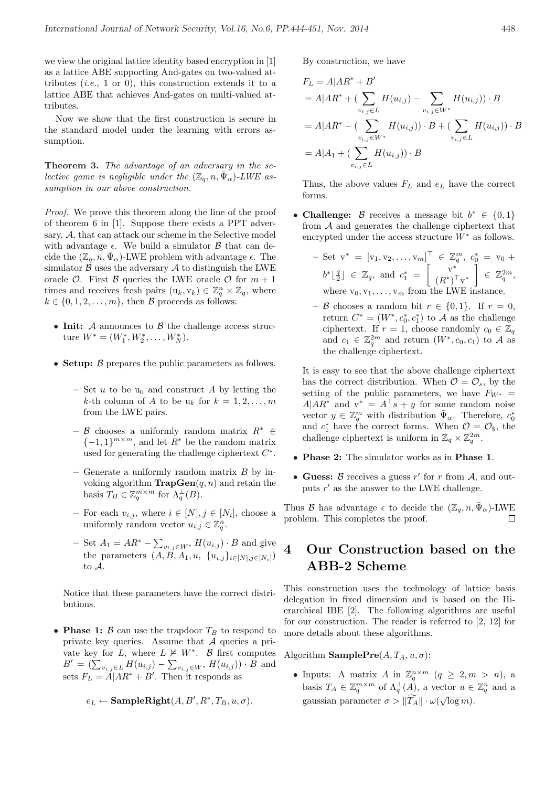we view the original lattice identity based encryption in [1] as a lattice ABE supporting And-gates on two-valued attributes  $(i.e., 1 \text{ or } 0)$ , this construction extends it to a lattice ABE that achieves And-gates on multi-valued attributes.

Now we show that the first construction is secure in the standard model under the learning with errors assumption.

Theorem 3. The advantage of an adversary in the selective game is negligible under the  $(\mathbb{Z}_q, n, \overline{\Psi}_\alpha)$ -LWE assumption in our above construction.

Proof. We prove this theorem along the line of the proof of theorem 6 in [1]. Suppose there exists a PPT adversary, A, that can attack our scheme in the Selective model with advantage  $\epsilon$ . We build a simulator  $\beta$  that can decide the  $(\mathbb{Z}_q, n, \bar{\Psi}_{\alpha})$ -LWE problem with advantage  $\epsilon$ . The simulator  $\beta$  uses the adversary  $\mathcal A$  to distinguish the LWE oracle  $\mathcal{O}$ . First  $\mathcal{B}$  queries the LWE oracle  $\mathcal{O}$  for  $m+1$ times and receives fresh pairs  $(u_k, v_k) \in \mathbb{Z}_q^n \times \mathbb{Z}_q$ , where  $k \in \{0, 1, 2, \ldots, m\}$ , then  $\beta$  proceeds as follows:

- Init:  $A$  announces to  $B$  the challenge access structure  $W^* = (W_1^*, W_2^*, \dots, W_N^*)$ .
- Setup:  $\beta$  prepares the public parameters as follows.
	- Set u to be  $u_0$  and construct A by letting the k-th column of A to be  $u_k$  for  $k = 1, 2, ..., m$ from the LWE pairs.
	- B chooses a uniformly random matrix R<sup>∗</sup> ∈  ${-1, 1}^{m \times m}$ , and let  $R^*$  be the random matrix used for generating the challenge ciphertext  $C^*$ .
	- Generate a uniformly random matrix  $B$  by invoking algorithm  $\textbf{TrapGen}(q, n)$  and retain the basis  $T_B \in \mathbb{Z}_q^{m \times m}$  for  $\Lambda_q^{\perp}(B)$ .
	- For each  $v_{i,j}$ , where  $i \in [N], j \in [N_i]$ , choose a uniformly random vector  $u_{i,j} \in \mathbb{Z}_q^n$ .
	- Set  $A_1 = AR^* \sum_{v_{i,j} \in W^*} H(u_{i,j}) \cdot B$  and give the parameters  $(A, B, A_1, u, \{u_{i,j}\}_{i \in [N], j \in [N_i]})$ to A.

Notice that these parameters have the correct distributions.

• **Phase 1:**  $\beta$  can use the trapdoor  $T_B$  to respond to private key queries. Assume that  $A$  queries a private key for L, where  $L \not\models W^*$ . B first computes vate key for L, where  $L \nvdash W$ . B first computes<br> $B' = (\sum_{v_{i,j} \in L} H(u_{i,j}) - \sum_{v_{i,j} \in W^*} H(u_{i,j})) \cdot B$  and sets  $F_L = \tilde{A} | AR^* + B'$ . Then it responds as

 $e_L \leftarrow$  SampleRight $(A, B', R^*, T_B, u, \sigma)$ .

By construction, we have

$$
F_L = A|AR^* + B'
$$
  
=  $A|AR^* + (\sum_{v_{i,j} \in L} H(u_{i,j}) - \sum_{v_{i,j} \in W^*} H(u_{i,j})) \cdot B$   
=  $A|AR^* - (\sum_{v_{i,j} \in W^*} H(u_{i,j})) \cdot B + (\sum_{v_{i,j} \in L} H(u_{i,j})) \cdot B$   
=  $A|A_1 + (\sum_{v_{i,j} \in L} H(u_{i,j})) \cdot B$ 

Thus, the above values  $F_L$  and  $e_L$  have the correct forms.

• Challenge: B receives a message bit  $b^* \in \{0,1\}$ from A and generates the challenge ciphertext that encrypted under the access structure  $W^*$  as follows.

- Set 
$$
\mathbf{v}^* = [\mathbf{v}_1, \mathbf{v}_2, \dots, \mathbf{v}_m]^\top \in \mathbb{Z}_q^m
$$
,  $c_0^* = \mathbf{v}_0 + b^* \lfloor \frac{q}{2} \rfloor \in \mathbb{Z}_q$ , and  $c_1^* = \begin{bmatrix} \mathbf{v}^* \\ (R^*)^\top \mathbf{v}^* \end{bmatrix} \in \mathbb{Z}_q^{2m}$ ,  
where  $\mathbf{v}_0, \mathbf{v}_1, \dots, \mathbf{v}_m$  from the LWE instance.

 $-$  B chooses a random bit  $r \in \{0,1\}$ . If  $r = 0$ , return  $C^* = (W^*, c_0^*, c_1^*)$  to A as the challenge ciphertext. If  $r = 1$ , choose randomly  $c_0 \in \mathbb{Z}_q$ and  $c_1 \in \mathbb{Z}_q^{2m}$  and return  $(W^*, c_0, c_1)$  to A as the challenge ciphertext.

It is easy to see that the above challenge ciphertext has the correct distribution. When  $\mathcal{O} = \mathcal{O}_s$ , by the setting of the public parameters, we have  $F_{W^*}$  =  $A|AR^*$  and  $v^* = A^\top s + y$  for some random noise vector  $y \in \mathbb{Z}_q^m$  with distribution  $\bar{\Psi}_{\alpha}$ . Therefore,  $c_0^*$ and  $c_1^*$  have the correct forms. When  $\mathcal{O} = \mathcal{O}_{\$}$ , the challenge ciphertext is uniform in  $\mathbb{Z}_q \times \mathbb{Z}_q^{2m}$ .

- Phase 2: The simulator works as in Phase 1.
- Guess: B receives a guess  $r'$  for r from A, and outputs  $r'$  as the answer to the LWE challenge.

Thus  $\mathcal B$  has advantage  $\epsilon$  to decide the  $(\mathbb{Z}_q, n, \bar{\Psi}_\alpha)$ -LWE problem. This completes the proof.  $\Box$ 

# 4 Our Construction based on the ABB-2 Scheme

This construction uses the technology of lattice basis delegation in fixed dimension and is based on the Hierarchical IBE [2]. The following algorithms are useful for our construction. The reader is referred to [2, 12] for more details about these algorithms.

Algorithm  $\textbf{SamplePre}(A, T_A, u, \sigma)$ :

• Inputs: A matrix A in  $\mathbb{Z}_q^{n \times m}$   $(q \geq 2, m > n)$ , a basis  $T_A \in \mathbb{Z}_q^{m \times m}$  of  $\Lambda_q^{\perp}(A)$ , a vector  $u \in \mathbb{Z}_q^n$  and a gaussian parameter  $\sigma > ||\widetilde{T_A}|| \cdot \omega(\sqrt{\log m}).$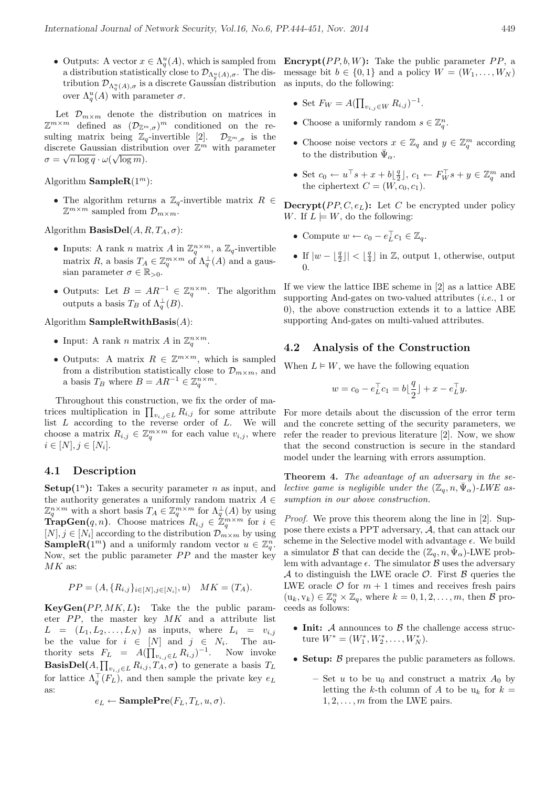• Outputs: A vector  $x \in \Lambda_q^u(A)$ , which is sampled from **Encrypt** $(PP, b, W)$ : Take the public parameter PP, a tribution  $\mathcal{D}_{\Lambda_q^u(A),\sigma}$  is a discrete Gaussian distribution as inputs, do the following: over  $\Lambda_q^u(A)$  with parameter  $\sigma$ .

Let  $\mathcal{D}_{m \times m}$  denote the distribution on matrices in  $\mathbb{Z}^{m \times m}$  defined as  $(\mathcal{D}_{\mathbb{Z}^m,\sigma})^m$  conditioned on the resulting matrix being  $\mathbb{Z}_q$ -invertible [2].  $\mathcal{D}_{\mathbb{Z}^m,\sigma}$  is the discrete Gaussian distribution over  $\mathbb{Z}^m$  with parameter  $\sigma = \sqrt{n \log q} \cdot \omega(\sqrt{\log m}).$ 

Algorithm  $\textbf{SampleR}(1^m)$ :

• The algorithm returns a  $\mathbb{Z}_q$ -invertible matrix  $R \in$  $\mathbb{Z}^{m \times m}$  sampled from  $\mathcal{D}_{m \times m}$ .

Algorithm **BasisDel** $(A, R, T_A, \sigma)$ :

- Inputs: A rank n matrix A in  $\mathbb{Z}_q^{n \times m}$ , a  $\mathbb{Z}_q$ -invertible matrix R, a basis  $T_A \in \mathbb{Z}_q^{m \times m}$  of  $\Lambda_q^{\perp}(A)$  and a gaussian parameter  $\sigma \in \mathbb{R}_{>0}$ .
- Outputs: Let  $B = AR^{-1} \in \mathbb{Z}_q^{n \times m}$ . The algorithm outputs a basis  $T_B$  of  $\Lambda_q^{\perp}(B)$ .

#### Algorithm  $$

- Input: A rank n matrix A in  $\mathbb{Z}_q^{n \times m}$ .
- Outputs: A matrix  $R \in \mathbb{Z}^{m \times m}$ , which is sampled from a distribution statistically close to  $\mathcal{D}_{m \times m}$ , and a basis  $T_B$  where  $B = AR^{-1} \in \mathbb{Z}_q^{n \times m}$ .

Throughout this construction, we fix the order of ma-I infoughout this construction, we fix the order of matrices multiplication in  $\prod_{v_{i,j}\in L} R_{i,j}$  for some attribute list  $L$  according to the reverse order of  $L$ . We will choose a matrix  $R_{i,j} \in \mathbb{Z}_q^{m \times m}$  for each value  $v_{i,j}$ , where  $i \in [N], j \in [N_i].$ 

#### 4.1 Description

**Setup**( $1^n$ ): Takes a security parameter *n* as input, and the authority generates a uniformly random matrix  $A \in$  $\mathbb{Z}_q^{n \times m}$  with a short basis  $T_A \in \mathbb{Z}_q^{m \times m}$  for  $\Lambda_q^{\perp}(A)$  by using **TrapGen** $(q, n)$ . Choose matrices  $R_{i,j} \in \mathbb{Z}_q^{m \times m}$  for  $i \in$  $[N], j \in [N_i]$  according to the distribution  $\mathcal{D}_{m \times m}$  by using **SampleR**(1<sup>m</sup>) and a uniformly random vector  $u \in \mathbb{Z}_q^n$ . Now, set the public parameter  $PP$  and the master key  $MK$  as:

$$
PP = (A, \{R_{i,j}\}_{i \in [N], j \in [N_i]}, u) \quad MK = (T_A).
$$

 $KeyGen(PP, MK, L):$  Take the the public parameter  $PP$ , the master key  $MK$  and a attribute list  $L = (L_1, L_2, \ldots, L_N)$  as inputs, where  $L_i = v_{i,j}$ be the value for  $i \in [N]$  and  $j \in N_i$ . The authority sets  $F_L = A(\prod_{v_{i,j} \in L} R_{i,j})^{-1}$ . Now invoke BasisDel(A,  $\prod_{v_{i,j}\in L} R_{i,j}, T_A, \sigma$ ) to generate a basis  $T_L$ for lattice  $\Lambda_q^{\top}(F_L)$ , and then sample the private key  $e_L$ as:

$$
e_L \leftarrow \textbf{SamplePre}(F_L, T_L, u, \sigma).
$$

a distribution statistically close to  $\mathcal{D}_{\Lambda_q^u(A),\sigma}$ . The dis- message bit  $b \in \{0,1\}$  and a policy  $W = (W_1,\ldots,W_N)$ 

- Set  $F_W = A(\prod_{v_{i,j} \in W} R_{i,j})^{-1}$ .
- Choose a uniformly random  $s \in \mathbb{Z}_q^n$ .
- Choose noise vectors  $x \in \mathbb{Z}_q$  and  $y \in \mathbb{Z}_q^m$  according to the distribution  $\bar{\Psi}_{\alpha}$ .
- Set  $c_0 \leftarrow u^{\top} s + x + b \lfloor \frac{q}{2} \rfloor, c_1 \leftarrow F_W^{\top} s + y \in \mathbb{Z}_q^m$  and the ciphertext  $C = (W, c_0, c_1)$ .

**Decrypt**( $PP, C, e_L$ ): Let C be encrypted under policy W. If  $L \models W$ , do the following:

- Compute  $w \leftarrow c_0 e_L^{\top} c_1 \in \mathbb{Z}_q$ .
- If  $|w \lfloor \frac{q}{2} \rfloor| < \lfloor \frac{q}{4} \rfloor$  in Z, output 1, otherwise, output 0.

If we view the lattice IBE scheme in [2] as a lattice ABE supporting And-gates on two-valued attributes (i.e., 1 or 0), the above construction extends it to a lattice ABE supporting And-gates on multi-valued attributes.

#### 4.2 Analysis of the Construction

When  $L \models W$ , we have the following equation

$$
w = c_0 - e_L^{\top} c_1 = b \left\lfloor \frac{q}{2} \right\rfloor + x - e_L^{\top} y.
$$

For more details about the discussion of the error term and the concrete setting of the security parameters, we refer the reader to previous literature [2]. Now, we show that the second construction is secure in the standard model under the learning with errors assumption.

Theorem 4. The advantage of an adversary in the selective game is negligible under the  $(\mathbb{Z}_q, n, \bar{\Psi}_\alpha)$ -LWE assumption in our above construction.

Proof. We prove this theorem along the line in [2]. Suppose there exists a PPT adversary, A, that can attack our scheme in the Selective model with advantage  $\epsilon$ . We build a simulator  $\mathcal B$  that can decide the  $(\mathbb{Z}_q, n, \bar\Psi_\alpha)$ -LWE problem with advantage  $\epsilon$ . The simulator  $\beta$  uses the adversary A to distinguish the LWE oracle  $\mathcal{O}$ . First  $\mathcal{B}$  queries the LWE oracle  $\mathcal O$  for  $m+1$  times and receives fresh pairs  $(u_k, v_k) \in \mathbb{Z}_q^n \times \mathbb{Z}_q$ , where  $k = 0, 1, 2, \ldots, m$ , then  $\beta$  proceeds as follows:

- Init:  $A$  announces to  $B$  the challenge access structure  $W^* = (W_1^*, W_2^*, \ldots, W_N^*).$
- Setup:  $\beta$  prepares the public parameters as follows.
	- Set u to be  $u_0$  and construct a matrix  $A_0$  by letting the k-th column of A to be  $u_k$  for  $k =$  $1, 2, \ldots, m$  from the LWE pairs.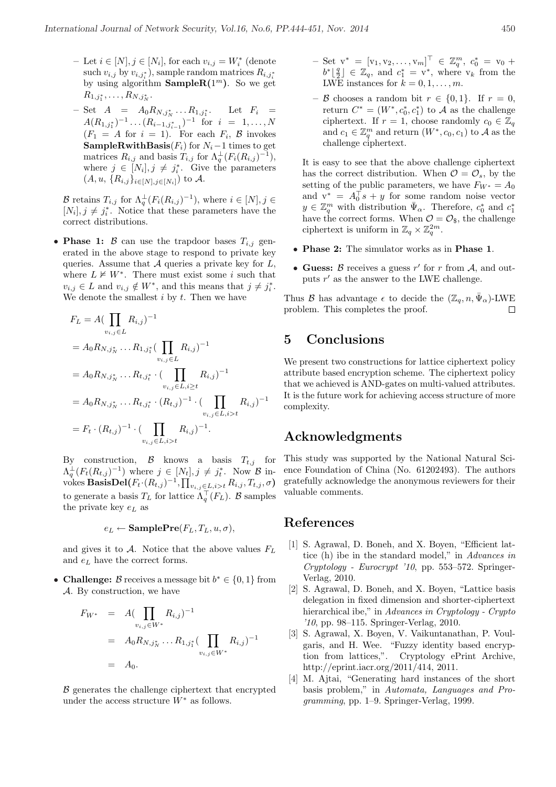- Let  $i \in [N], j \in [N_i]$ , for each  $v_{i,j} = W_i^*$  (denote such  $v_{i,j}$  by  $v_{i,j_i^*}$ , sample random matrices  $R_{i,j_i^*}$ by using algorithm **SampleR** $(1^m)$ . So we get  $R_{1,j_1^*}, \ldots, R_{N,j_N^*}.$
- $-$  Set  $A = A_0 R_{N,j_N^*} \dots R_{1,j_1^*}$ . Let  $F_i =$  $A(R_{1,j_1^*})^{-1} \dots (R_{i-1,j_{i-1}^*})^{-1}$  for  $i = 1, \dots, N$  $(F_1 = A \text{ for } i = 1)$ . For each  $F_i$ ,  $\beta$  invokes SampleRwithBasis $(F_i)$  for  $N_i-1$  times to get matrices  $R_{i,j}$  and basis  $T_{i,j}$  for  $\Lambda_q^{\perp}(F_i(R_{i,j})^{-1}),$ where  $j \in [N_i], j \neq j_i^*$ . Give the parameters  $(A, u, \{R_{i,j}\}_{i\in[N],j\in[N_i]})$  to A.

B retains  $T_{i,j}$  for  $\Lambda_q^{\perp}(F_i(R_{i,j})^{-1})$ , where  $i \in [N], j \in$  $[N_i], j \neq j_i^*$ . Notice that these parameters have the correct distributions.

• **Phase 1:**  $\beta$  can use the trapdoor bases  $T_{i,j}$  generated in the above stage to respond to private key queries. Assume that  $A$  queries a private key for  $L$ , where  $L \not\vDash W^*$ . There must exist some i such that  $v_{i,j} \in L$  and  $v_{i,j} \notin W^*$ , and this means that  $j \neq j_i^*$ . We denote the smallest  $i$  by  $t$ . Then we have

$$
F_L = A(\prod_{v_{i,j}\in L} R_{i,j})^{-1}
$$
  
=  $A_0 R_{N,j_N^*} \dots R_{1,j_1^*} (\prod_{v_{i,j}\in L} R_{i,j})^{-1}$   
=  $A_0 R_{N,j_N^*} \dots R_{t,j_t^*} \cdot (\prod_{v_{i,j}\in L, i\geq t} R_{i,j})^{-1}$   
=  $A_0 R_{N,j_N^*} \dots R_{t,j_t^*} \cdot (R_{t,j})^{-1} \cdot (\prod_{v_{i,j}\in L, i>t} R_{i,j})^{-1}$   
=  $F_t \cdot (R_{t,j})^{-1} \cdot (\prod_{v_{i,j}\in L, i>t} R_{i,j})^{-1}$ .

By construction,  $\beta$  knows a basis  $T_{t,j}$  for  $\Lambda_q^{\perp}(F_t(R_{t,j})^{-1})$  where  $j \in [N_t], j \neq j_t^*$ . Now  $\mathcal{B}$  invokes  $\textbf{BasisDel}(F_t\cdot(R_{t,j})^{-1},\prod_{v_{i,j}\in L,i>t}R_{i,j},T_{t,j},\sigma)$ to generate a basis  $T_L$  for lattice  $\Lambda_q^{\top}(F_L)$ . B samples the private key  $e_L$  as

$$
e_L \leftarrow \textbf{SamplePre}(F_L, T_L, u, \sigma),
$$

and gives it to  $A$ . Notice that the above values  $F<sub>L</sub>$ and  $e<sub>L</sub>$  have the correct forms.

• Challenge: B receives a message bit  $b^* \in \{0, 1\}$  from A. By construction, we have

$$
F_{W^*} = A(\prod_{v_{i,j} \in W^*} R_{i,j})^{-1}
$$
  
=  $A_0 R_{N,j_N^*} \dots R_{1,j_1^*} (\prod_{v_{i,j} \in W^*} R_{i,j})^{-1}$   
=  $A_0$ .

 $\beta$  generates the challenge ciphertext that encrypted under the access structure  $W^*$  as follows.

- $-$  Set v<sup>\*</sup> = [v<sub>1</sub>, v<sub>2</sub>, . . . , v<sub>m</sub>]<sup>⊤</sup> ∈  $\mathbb{Z}_q^m$ ,  $c_0^*$  = v<sub>0</sub> +  $b^* \lfloor \frac{q}{2} \rfloor \in \mathbb{Z}_q$ , and  $c_1^* = v^*$ , where  $v_k$  from the LWE instances for  $k = 0, 1, \ldots, m$ .
- B chooses a random bit  $r \in \{0,1\}$ . If  $r = 0$ , return  $C^* = (W^*, c_0^*, c_1^*)$  to A as the challenge ciphertext. If  $r = 1$ , choose randomly  $c_0 \in \mathbb{Z}_q$ and  $c_1 \in \mathbb{Z}_q^m$  and return  $(W^*, c_0, c_1)$  to A as the challenge ciphertext.

It is easy to see that the above challenge ciphertext has the correct distribution. When  $\mathcal{O} = \mathcal{O}_s$ , by the setting of the public parameters, we have  $F_{W^*} = A_0$ and  $v^* = A_0^\top s + y$  for some random noise vector  $y \in \mathbb{Z}_q^m$  with distribution  $\bar{\Psi}_{\alpha}$ . Therefore,  $c_0^*$  and  $c_1^*$ have the correct forms. When  $\mathcal{O} = \mathcal{O}_{\$}$ , the challenge ciphertext is uniform in  $\mathbb{Z}_q \times \mathbb{Z}_q^{2m}$ .

- Phase 2: The simulator works as in Phase 1.
- Guess: B receives a guess  $r'$  for r from A, and outputs  $r'$  as the answer to the LWE challenge.

Thus  $\mathcal B$  has advantage  $\epsilon$  to decide the  $(\mathbb{Z}_q, n, \bar{\Psi}_\alpha)$ -LWE problem. This completes the proof.

## 5 Conclusions

We present two constructions for lattice ciphertext policy attribute based encryption scheme. The ciphertext policy that we achieved is AND-gates on multi-valued attributes. It is the future work for achieving access structure of more complexity.

# Acknowledgments

This study was supported by the National Natural Science Foundation of China (No. 61202493). The authors gratefully acknowledge the anonymous reviewers for their valuable comments.

## References

- [1] S. Agrawal, D. Boneh, and X. Boyen, "Efficient lattice (h) ibe in the standard model," in Advances in Cryptology - Eurocrypt '10, pp. 553–572. Springer-Verlag, 2010.
- [2] S. Agrawal, D. Boneh, and X. Boyen, "Lattice basis delegation in fixed dimension and shorter-ciphertext hierarchical ibe," in Advances in Cryptology - Crypto '10, pp. 98–115. Springer-Verlag, 2010.
- [3] S. Agrawal, X. Boyen, V. Vaikuntanathan, P. Voulgaris, and H. Wee. "Fuzzy identity based encryption from lattices,". Cryptology ePrint Archive, http://eprint.iacr.org/2011/414, 2011.
- [4] M. Ajtai, "Generating hard instances of the short basis problem," in Automata, Languages and Programming, pp. 1–9. Springer-Verlag, 1999.